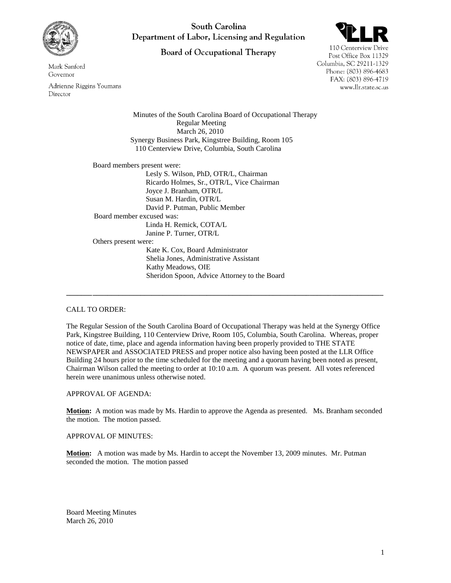

Mark Sanford Governor

Adrienne Riggins Youmans Director

South Carolina Department of Labor, Licensing and Regulation

**Board of Occupational Therapy** 



110 Centerview Drive Post Office Box 11329 Columbia, SC 29211-1329 Phone: (803) 896-4683 FAX: (803) 896-4719 www.llr.state.sc.us

Minutes of the South Carolina Board of Occupational Therapy Regular Meeting March 26, 2010 Synergy Business Park, Kingstree Building, Room 105 110 Centerview Drive, Columbia, South Carolina

Board members present were: Lesly S. Wilson, PhD, OTR/L, Chairman

Ricardo Holmes, Sr., OTR/L, Vice Chairman Joyce J. Branham, OTR/L Susan M. Hardin, OTR/L David P. Putman, Public Member Board member excused was: Linda H. Remick, COTA/L Janine P. Turner, OTR/L Others present were: Kate K. Cox, Board Administrator Shelia Jones, Administrative Assistant Kathy Meadows, OIE Sheridon Spoon, Advice Attorney to the Board

# CALL TO ORDER:

The Regular Session of the South Carolina Board of Occupational Therapy was held at the Synergy Office Park, Kingstree Building, 110 Centerview Drive, Room 105, Columbia, South Carolina. Whereas, proper notice of date, time, place and agenda information having been properly provided to THE STATE NEWSPAPER and ASSOCIATED PRESS and proper notice also having been posted at the LLR Office Building 24 hours prior to the time scheduled for the meeting and a quorum having been noted as present, Chairman Wilson called the meeting to order at 10:10 a.m. A quorum was present. All votes referenced herein were unanimous unless otherwise noted.

**\_\_\_\_\_\_\_\_\_\_\_\_\_\_\_\_\_\_\_\_\_\_\_\_\_\_\_\_\_\_\_\_\_\_\_\_\_\_\_\_\_\_\_\_\_\_\_\_\_\_\_\_\_\_\_\_\_\_\_\_\_\_\_\_\_\_\_\_\_\_\_\_\_\_\_\_\_\_\_\_\_\_\_\_\_\_**

# APPROVAL OF AGENDA:

**Motion:** A motion was made by Ms. Hardin to approve the Agenda as presented. Ms. Branham seconded the motion. The motion passed.

# APPROVAL OF MINUTES:

**Motion:** A motion was made by Ms. Hardin to accept the November 13, 2009 minutes. Mr. Putman seconded the motion. The motion passed

Board Meeting Minutes March 26, 2010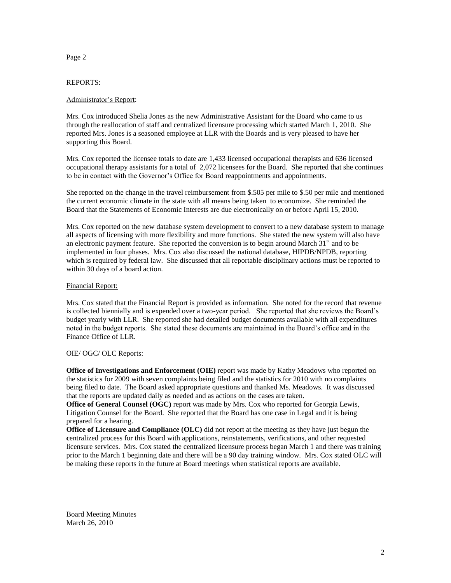## Page 2

## REPORTS:

## Administrator's Report:

Mrs. Cox introduced Shelia Jones as the new Administrative Assistant for the Board who came to us through the reallocation of staff and centralized licensure processing which started March 1, 2010. She reported Mrs. Jones is a seasoned employee at LLR with the Boards and is very pleased to have her supporting this Board.

Mrs. Cox reported the licensee totals to date are 1,433 licensed occupational therapists and 636 licensed occupational therapy assistants for a total of 2,072 licensees for the Board. She reported that she continues to be in contact with the Governor's Office for Board reappointments and appointments.

She reported on the change in the travel reimbursement from \$.505 per mile to \$.50 per mile and mentioned the current economic climate in the state with all means being taken to economize. She reminded the Board that the Statements of Economic Interests are due electronically on or before April 15, 2010.

Mrs. Cox reported on the new database system development to convert to a new database system to manage all aspects of licensing with more flexibility and more functions. She stated the new system will also have an electronic payment feature. She reported the conversion is to begin around March  $31<sup>st</sup>$  and to be implemented in four phases. Mrs. Cox also discussed the national database, HIPDB/NPDB, reporting which is required by federal law. She discussed that all reportable disciplinary actions must be reported to within 30 days of a board action.

## Financial Report:

Mrs. Cox stated that the Financial Report is provided as information. She noted for the record that revenue is collected biennially and is expended over a two-year period. She reported that she reviews the Board's budget yearly with LLR. She reported she had detailed budget documents available with all expenditures noted in the budget reports. She stated these documents are maintained in the Board's office and in the Finance Office of LLR.

### OIE/ OGC/ OLC Reports:

**Office of Investigations and Enforcement (OIE)** report was made by Kathy Meadows who reported on the statistics for 2009 with seven complaints being filed and the statistics for 2010 with no complaints being filed to date. The Board asked appropriate questions and thanked Ms. Meadows. It was discussed that the reports are updated daily as needed and as actions on the cases are taken.

**Office of General Counsel (OGC)** report was made by Mrs. Cox who reported for Georgia Lewis, Litigation Counsel for the Board. She reported that the Board has one case in Legal and it is being prepared for a hearing.

**Office of Licensure and Compliance (OLC)** did not report at the meeting as they have just begun the **c**entralized process for this Board with applications, reinstatements, verifications, and other requested licensure services. Mrs. Cox stated the centralized licensure process began March 1 and there was training prior to the March 1 beginning date and there will be a 90 day training window. Mrs. Cox stated OLC will be making these reports in the future at Board meetings when statistical reports are available.

Board Meeting Minutes March 26, 2010